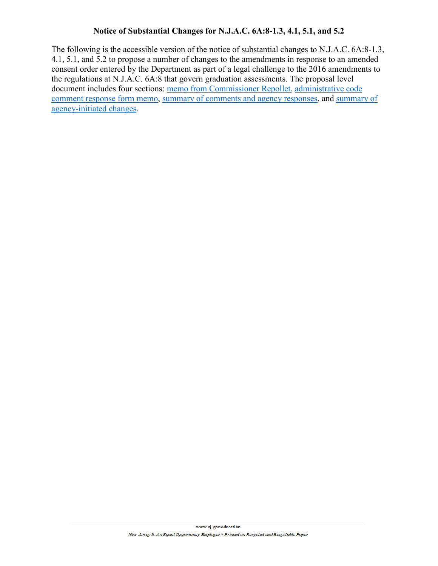## **Notice of Substantial Changes for N.J.A.C. 6A:8-1.3, 4.1, 5.1, and 5.2**

The following is the accessible version of the notice of substantial changes to N.J.A.C. 6A:8-1.3, 4.1, 5.1, and 5.2 to propose a number of changes to the amendments in response to an amended consent order entered by the Department as part of a legal challenge to the 2016 amendments to the regulations at N.J.A.C. 6A:8 that govern graduation assessments. The proposal level document includes four sections: [memo from Commissioner Repollet,](#page-1-0) [administrative code](#page-3-0)  [comment response form](#page-3-0) memo, [summary of comments and agency responses,](#page-4-0) and [summary of](#page-6-0)  [agency-initiated changes.](#page-6-0)

www.nj.gov/education

New Jersey Is An Equal Opportunity Employer . Printed on Recycled and Recyclable Paper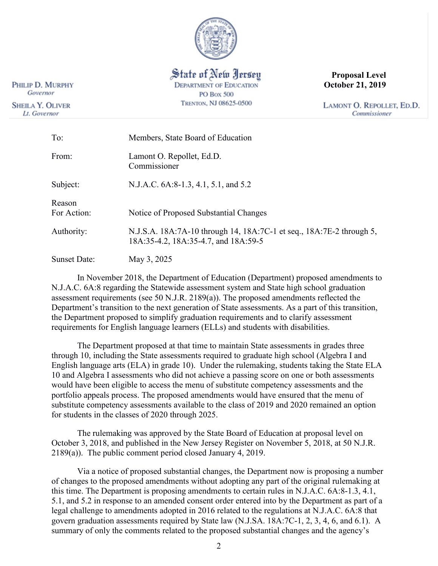

State of New Jersey **DEPARTMENT OF EDUCATION PO Box 500** TRENTON, NJ 08625-0500

**Proposal Level October 21, 2019**

LAMONT O. REPOLLET, ED.D. Commissioner

| To:                   | Members, State Board of Education                                                                            |
|-----------------------|--------------------------------------------------------------------------------------------------------------|
| From:                 | Lamont O. Repollet, Ed.D.<br>Commissioner                                                                    |
| Subject:              | N.J.A.C. 6A:8-1.3, 4.1, 5.1, and 5.2                                                                         |
| Reason<br>For Action: | Notice of Proposed Substantial Changes                                                                       |
| Authority:            | N.J.S.A. 18A:7A-10 through 14, 18A:7C-1 et seq., 18A:7E-2 through 5,<br>18A:35-4.2, 18A:35-4.7, and 18A:59-5 |
| <b>Sunset Date:</b>   | May 3, 2025                                                                                                  |

In November 2018, the Department of Education (Department) proposed amendments to N.J.A.C. 6A:8 regarding the Statewide assessment system and State high school graduation assessment requirements (see 50 N.J.R. 2189(a)). The proposed amendments reflected the Department's transition to the next generation of State assessments. As a part of this transition, the Department proposed to simplify graduation requirements and to clarify assessment requirements for English language learners (ELLs) and students with disabilities.

The Department proposed at that time to maintain State assessments in grades three through 10, including the State assessments required to graduate high school (Algebra I and English language arts (ELA) in grade 10). Under the rulemaking, students taking the State ELA 10 and Algebra I assessments who did not achieve a passing score on one or both assessments would have been eligible to access the menu of substitute competency assessments and the portfolio appeals process. The proposed amendments would have ensured that the menu of substitute competency assessments available to the class of 2019 and 2020 remained an option for students in the classes of 2020 through 2025.

The rulemaking was approved by the State Board of Education at proposal level on October 3, 2018, and published in the New Jersey Register on November 5, 2018, at 50 N.J.R. 2189(a)). The public comment period closed January 4, 2019.

Via a notice of proposed substantial changes, the Department now is proposing a number of changes to the proposed amendments without adopting any part of the original rulemaking at this time. The Department is proposing amendments to certain rules in N.J.A.C. 6A:8-1.3, 4.1, 5.1, and 5.2 in response to an amended consent order entered into by the Department as part of a legal challenge to amendments adopted in 2016 related to the regulations at N.J.A.C. 6A:8 that govern graduation assessments required by State law (N.J.SA. 18A:7C-1, 2, 3, 4, 6, and 6.1). A summary of only the comments related to the proposed substantial changes and the agency's

<span id="page-1-0"></span>PHILIP D. MURPHY Governor

**SHEILA Y. OLIVER** Lt. Governor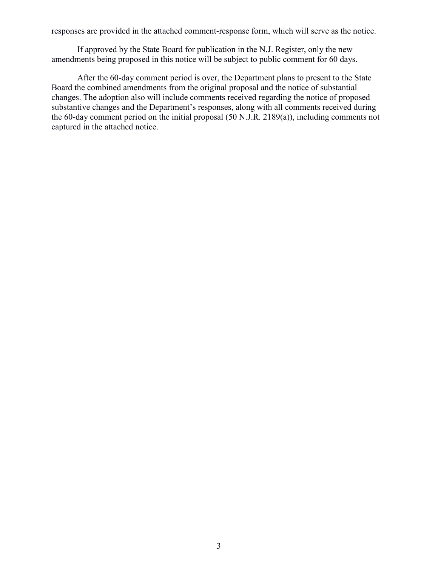responses are provided in the attached comment-response form, which will serve as the notice.

If approved by the State Board for publication in the N.J. Register, only the new amendments being proposed in this notice will be subject to public comment for 60 days.

After the 60-day comment period is over, the Department plans to present to the State Board the combined amendments from the original proposal and the notice of substantial changes. The adoption also will include comments received regarding the notice of proposed substantive changes and the Department's responses, along with all comments received during the 60-day comment period on the initial proposal (50 N.J.R. 2189(a)), including comments not captured in the attached notice.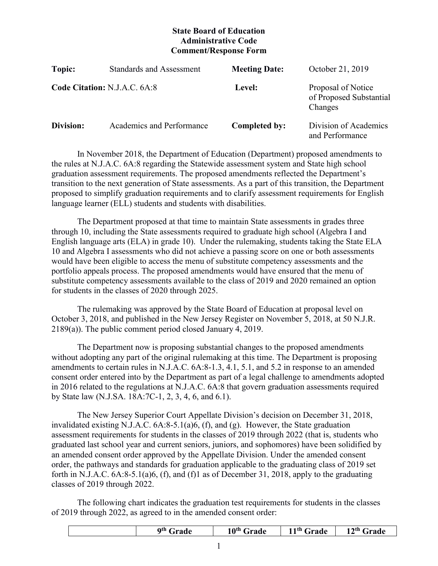# **State Board of Education Administrative Code Comment/Response Form**

<span id="page-3-0"></span>

| Topic:    | <b>Standards and Assessment</b> | <b>Meeting Date:</b> | October 21, 2019                                         |
|-----------|---------------------------------|----------------------|----------------------------------------------------------|
|           | Code Citation: N.J.A.C. 6A:8    | Level:               | Proposal of Notice<br>of Proposed Substantial<br>Changes |
| Division: | Academics and Performance       | Completed by:        | Division of Academics<br>and Performance                 |

In November 2018, the Department of Education (Department) proposed amendments to the rules at N.J.A.C. 6A:8 regarding the Statewide assessment system and State high school graduation assessment requirements. The proposed amendments reflected the Department's transition to the next generation of State assessments. As a part of this transition, the Department proposed to simplify graduation requirements and to clarify assessment requirements for English language learner (ELL) students and students with disabilities.

The Department proposed at that time to maintain State assessments in grades three through 10, including the State assessments required to graduate high school (Algebra I and English language arts (ELA) in grade 10). Under the rulemaking, students taking the State ELA 10 and Algebra I assessments who did not achieve a passing score on one or both assessments would have been eligible to access the menu of substitute competency assessments and the portfolio appeals process. The proposed amendments would have ensured that the menu of substitute competency assessments available to the class of 2019 and 2020 remained an option for students in the classes of 2020 through 2025.

The rulemaking was approved by the State Board of Education at proposal level on October 3, 2018, and published in the New Jersey Register on November 5, 2018, at 50 N.J.R. 2189(a)). The public comment period closed January 4, 2019.

The Department now is proposing substantial changes to the proposed amendments without adopting any part of the original rulemaking at this time. The Department is proposing amendments to certain rules in N.J.A.C. 6A:8-1.3, 4.1, 5.1, and 5.2 in response to an amended consent order entered into by the Department as part of a legal challenge to amendments adopted in 2016 related to the regulations at N.J.A.C. 6A:8 that govern graduation assessments required by State law (N.J.SA. 18A:7C-1, 2, 3, 4, 6, and 6.1).

The New Jersey Superior Court Appellate Division's decision on December 31, 2018, invalidated existing N.J.A.C.  $6A:8-5.1(a)6$ ,  $(f)$ , and  $(g)$ . However, the State graduation assessment requirements for students in the classes of 2019 through 2022 (that is, students who graduated last school year and current seniors, juniors, and sophomores) have been solidified by an amended consent order approved by the Appellate Division. Under the amended consent order, the pathways and standards for graduation applicable to the graduating class of 2019 set forth in N.J.A.C. 6A:8-5.1(a)6, (f), and (f)1 as of December 31, 2018, apply to the graduating classes of 2019 through 2022.

The following chart indicates the graduation test requirements for students in the classes of 2019 through 2022, as agreed to in the amended consent order:

| <b>Qth</b> $\Gamma$<br>Grade | 10 <sup>th</sup> Grade | 11th $\sim$<br>Grade | $12th$ Grade |
|------------------------------|------------------------|----------------------|--------------|
|                              |                        |                      |              |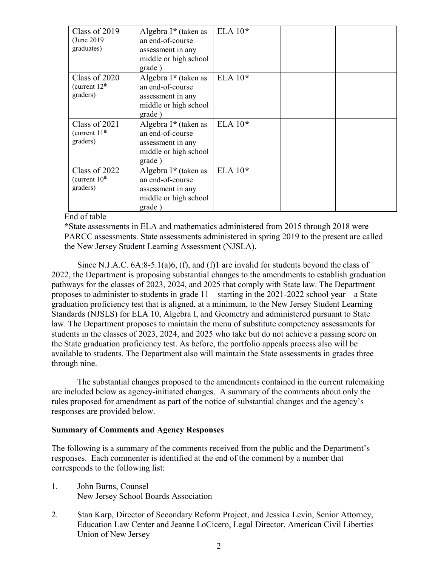| Class of 2019<br>(June 2019)<br>graduates)             | Algebra $I^*$ (taken as<br>an end-of-course<br>assessment in any<br>middle or high school<br>grade) | ELA $10*$ |  |
|--------------------------------------------------------|-----------------------------------------------------------------------------------------------------|-----------|--|
| Class of 2020<br>(current 12 <sup>th</sup><br>graders) | Algebra I* (taken as<br>an end-of-course<br>assessment in any<br>middle or high school<br>grade)    | ELA $10*$ |  |
| Class of 2021<br>(current $11th$<br>graders)           | Algebra I* (taken as<br>an end-of-course<br>assessment in any<br>middle or high school<br>grade)    | ELA $10*$ |  |
| Class of 2022<br>(current 10 <sup>th</sup><br>graders) | Algebra $I^*$ (taken as<br>an end-of-course<br>assessment in any<br>middle or high school<br>grade) | ELA $10*$ |  |

## End of table

**\***State assessments in ELA and mathematics administered from 2015 through 2018 were PARCC assessments. State assessments administered in spring 2019 to the present are called the New Jersey Student Learning Assessment (NJSLA).

Since N.J.A.C. 6A:8-5.1(a)6, (f), and (f)1 are invalid for students beyond the class of 2022, the Department is proposing substantial changes to the amendments to establish graduation pathways for the classes of 2023, 2024, and 2025 that comply with State law. The Department proposes to administer to students in grade 11 – starting in the 2021-2022 school year – a State graduation proficiency test that is aligned, at a minimum, to the New Jersey Student Learning Standards (NJSLS) for ELA 10, Algebra I, and Geometry and administered pursuant to State law. The Department proposes to maintain the menu of substitute competency assessments for students in the classes of 2023, 2024, and 2025 who take but do not achieve a passing score on the State graduation proficiency test. As before, the portfolio appeals process also will be available to students. The Department also will maintain the State assessments in grades three through nine.

The substantial changes proposed to the amendments contained in the current rulemaking are included below as agency-initiated changes. A summary of the comments about only the rules proposed for amendment as part of the notice of substantial changes and the agency's responses are provided below.

## <span id="page-4-0"></span>**Summary of Comments and Agency Responses**

The following is a summary of the comments received from the public and the Department's responses. Each commenter is identified at the end of the comment by a number that corresponds to the following list:

- 1. John Burns, Counsel New Jersey School Boards Association
- 2. Stan Karp, Director of Secondary Reform Project, and Jessica Levin, Senior Attorney, Education Law Center and Jeanne LoCicero, Legal Director, American Civil Liberties Union of New Jersey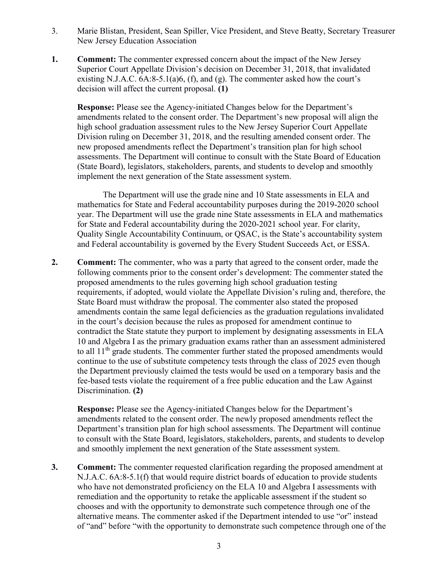- 3. Marie Blistan, President, Sean Spiller, Vice President, and Steve Beatty, Secretary Treasurer New Jersey Education Association
- **1.** Comment: The commenter expressed concern about the impact of the New Jersey Superior Court Appellate Division's decision on December 31, 2018, that invalidated existing N.J.A.C.  $6A:8-5.1(a)6$ ,  $(f)$ , and  $(g)$ . The commenter asked how the court's decision will affect the current proposal. **(1)**

**Response:** Please see the Agency-initiated Changes below for the Department's amendments related to the consent order. The Department's new proposal will align the high school graduation assessment rules to the New Jersey Superior Court Appellate Division ruling on December 31, 2018, and the resulting amended consent order. The new proposed amendments reflect the Department's transition plan for high school assessments. The Department will continue to consult with the State Board of Education (State Board), legislators, stakeholders, parents, and students to develop and smoothly implement the next generation of the State assessment system.

The Department will use the grade nine and 10 State assessments in ELA and mathematics for State and Federal accountability purposes during the 2019-2020 school year. The Department will use the grade nine State assessments in ELA and mathematics for State and Federal accountability during the 2020-2021 school year. For clarity, Quality Single Accountability Continuum, or QSAC, is the State's accountability system and Federal accountability is governed by the Every Student Succeeds Act, or ESSA.

**2. Comment:** The commenter, who was a party that agreed to the consent order, made the following comments prior to the consent order's development: The commenter stated the proposed amendments to the rules governing high school graduation testing requirements, if adopted, would violate the Appellate Division's ruling and, therefore, the State Board must withdraw the proposal. The commenter also stated the proposed amendments contain the same legal deficiencies as the graduation regulations invalidated in the court's decision because the rules as proposed for amendment continue to contradict the State statute they purport to implement by designating assessments in ELA 10 and Algebra I as the primary graduation exams rather than an assessment administered to all  $11<sup>th</sup>$  grade students. The commenter further stated the proposed amendments would continue to the use of substitute competency tests through the class of 2025 even though the Department previously claimed the tests would be used on a temporary basis and the fee-based tests violate the requirement of a free public education and the Law Against Discrimination. **(2)**

**Response:** Please see the Agency-initiated Changes below for the Department's amendments related to the consent order. The newly proposed amendments reflect the Department's transition plan for high school assessments. The Department will continue to consult with the State Board, legislators, stakeholders, parents, and students to develop and smoothly implement the next generation of the State assessment system.

**3. Comment:** The commenter requested clarification regarding the proposed amendment at N.J.A.C. 6A:8-5.1(f) that would require district boards of education to provide students who have not demonstrated proficiency on the ELA 10 and Algebra I assessments with remediation and the opportunity to retake the applicable assessment if the student so chooses and with the opportunity to demonstrate such competence through one of the alternative means. The commenter asked if the Department intended to use "or" instead of "and" before "with the opportunity to demonstrate such competence through one of the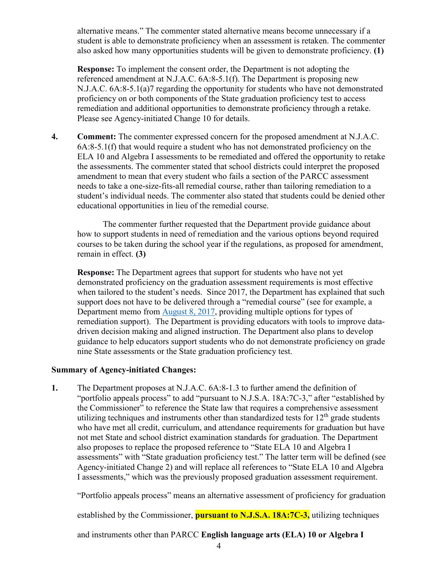alternative means." The commenter stated alternative means become unnecessary if a student is able to demonstrate proficiency when an assessment is retaken. The commenter also asked how many opportunities students will be given to demonstrate proficiency. **(1)**

**Response:** To implement the consent order, the Department is not adopting the referenced amendment at N.J.A.C. 6A:8-5.1(f). The Department is proposing new N.J.A.C. 6A:8-5.1(a)7 regarding the opportunity for students who have not demonstrated proficiency on or both components of the State graduation proficiency test to access remediation and additional opportunities to demonstrate proficiency through a retake. Please see Agency-initiated Change 10 for details.

**4. Comment:** The commenter expressed concern for the proposed amendment at N.J.A.C.  $6A:8-5.1(f)$  that would require a student who has not demonstrated proficiency on the ELA 10 and Algebra I assessments to be remediated and offered the opportunity to retake the assessments. The commenter stated that school districts could interpret the proposed amendment to mean that every student who fails a section of the PARCC assessment needs to take a one-size-fits-all remedial course, rather than tailoring remediation to a student's individual needs. The commenter also stated that students could be denied other educational opportunities in lieu of the remedial course.

The commenter further requested that the Department provide guidance about how to support students in need of remediation and the various options beyond required courses to be taken during the school year if the regulations, as proposed for amendment, remain in effect. **(3)**

**Response:** The Department agrees that support for students who have not yet demonstrated proficiency on the graduation assessment requirements is most effective when tailored to the student's needs. Since 2017, the Department has explained that such support does not have to be delivered through a "remedial course" (see for example, a Department memo from [August 8, 2017,](https://homeroom5.doe.state.nj.us/broadcasts/2017/AUG/08/16871/FAQ%20for%20Students%20Who%20Need%20to%20Retake%20the%20PARCC%20Algebra%20I%20Assessment.pdf) providing multiple options for types of remediation support). The Department is providing educators with tools to improve datadriven decision making and aligned instruction. The Department also plans to develop guidance to help educators support students who do not demonstrate proficiency on grade nine State assessments or the State graduation proficiency test.

## <span id="page-6-0"></span>**Summary of Agency-initiated Changes:**

**1.** The Department proposes at N.J.A.C. 6A:8-1.3 to further amend the definition of "portfolio appeals process" to add "pursuant to N.J.S.A. 18A:7C-3," after "established by the Commissioner" to reference the State law that requires a comprehensive assessment utilizing techniques and instruments other than standardized tests for  $12<sup>th</sup>$  grade students who have met all credit, curriculum, and attendance requirements for graduation but have not met State and school district examination standards for graduation. The Department also proposes to replace the proposed reference to "State ELA 10 and Algebra I assessments" with "State graduation proficiency test." The latter term will be defined (see Agency-initiated Change 2) and will replace all references to "State ELA 10 and Algebra I assessments," which was the previously proposed graduation assessment requirement.

"Portfolio appeals process" means an alternative assessment of proficiency for graduation

established by the Commissioner, **pursuant to N.J.S.A. 18A:7C-3,** utilizing techniques

and instruments other than PARCC **English language arts (ELA) 10 or Algebra I**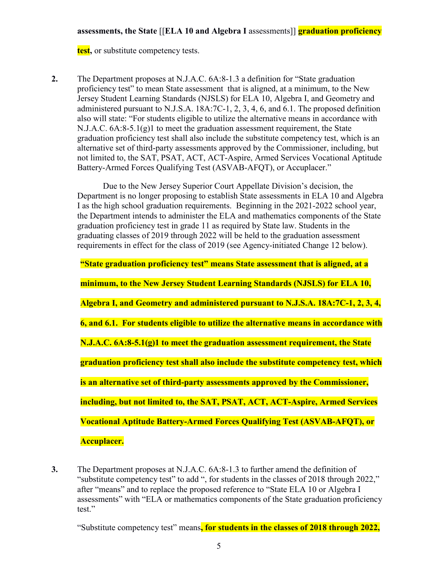**test,** or substitute competency tests.

**2.** The Department proposes at N.J.A.C. 6A:8-1.3 a definition for "State graduation proficiency test" to mean State assessment that is aligned, at a minimum, to the New Jersey Student Learning Standards (NJSLS) for ELA 10, Algebra I, and Geometry and administered pursuant to N.J.S.A. 18A:7C-1, 2, 3, 4, 6, and 6.1. The proposed definition also will state: "For students eligible to utilize the alternative means in accordance with N.J.A.C.  $6A:8-5.1(g)1$  to meet the graduation assessment requirement, the State graduation proficiency test shall also include the substitute competency test, which is an alternative set of third-party assessments approved by the Commissioner, including, but not limited to, the SAT, PSAT, ACT, ACT-Aspire, Armed Services Vocational Aptitude Battery-Armed Forces Qualifying Test (ASVAB-AFQT), or Accuplacer."

Due to the New Jersey Superior Court Appellate Division's decision, the Department is no longer proposing to establish State assessments in ELA 10 and Algebra I as the high school graduation requirements. Beginning in the 2021-2022 school year, the Department intends to administer the ELA and mathematics components of the State graduation proficiency test in grade 11 as required by State law. Students in the graduating classes of 2019 through 2022 will be held to the graduation assessment requirements in effect for the class of 2019 (see Agency-initiated Change 12 below).

**"State graduation proficiency test" means State assessment that is aligned, at a minimum, to the New Jersey Student Learning Standards (NJSLS) for ELA 10, Algebra I, and Geometry and administered pursuant to N.J.S.A. 18A:7C-1, 2, 3, 4, 6, and 6.1. For students eligible to utilize the alternative means in accordance with N.J.A.C. 6A:8-5.1(g)1 to meet the graduation assessment requirement, the State graduation proficiency test shall also include the substitute competency test, which is an alternative set of third-party assessments approved by the Commissioner, including, but not limited to, the SAT, PSAT, ACT, ACT-Aspire, Armed Services Vocational Aptitude Battery-Armed Forces Qualifying Test (ASVAB-AFQT), or Accuplacer.**

**3.** The Department proposes at N.J.A.C. 6A:8-1.3 to further amend the definition of "substitute competency test" to add ", for students in the classes of 2018 through 2022," after "means" and to replace the proposed reference to "State ELA 10 or Algebra I assessments" with "ELA or mathematics components of the State graduation proficiency test."

"Substitute competency test" means**, for students in the classes of 2018 through 2022,**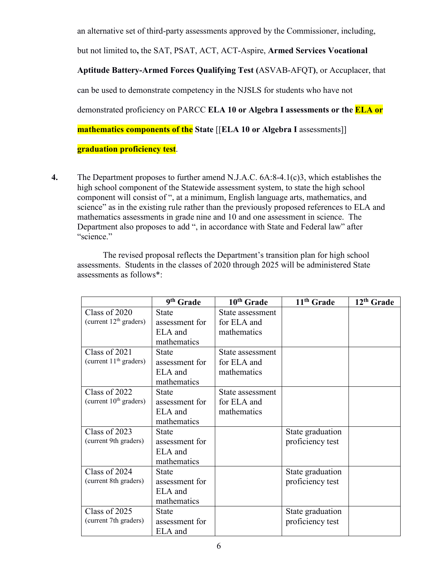an alternative set of third-party assessments approved by the Commissioner, including, but not limited to**,** the SAT, PSAT, ACT, ACT-Aspire, **Armed Services Vocational Aptitude Battery-Armed Forces Qualifying Test (**ASVAB-AFQT**)**, or Accuplacer, that can be used to demonstrate competency in the NJSLS for students who have not demonstrated proficiency on PARCC **ELA 10 or Algebra I assessments or the ELA or mathematics components of the State** [[**ELA 10 or Algebra I** assessments]] **graduation proficiency test**.

**4.** The Department proposes to further amend N.J.A.C. 6A:8-4.1(c)3, which establishes the high school component of the Statewide assessment system, to state the high school component will consist of ", at a minimum, English language arts, mathematics, and science" as in the existing rule rather than the previously proposed references to ELA and mathematics assessments in grade nine and 10 and one assessment in science. The Department also proposes to add ", in accordance with State and Federal law" after "science."

The revised proposal reflects the Department's transition plan for high school assessments. Students in the classes of 2020 through 2025 will be administered State assessments as follows\*:

|                                           | 9th Grade                                                | 10 <sup>th</sup> Grade                         | 11 <sup>th</sup> Grade               | 12 <sup>th</sup> Grade |
|-------------------------------------------|----------------------------------------------------------|------------------------------------------------|--------------------------------------|------------------------|
| Class of 2020<br>(current $12th$ graders) | <b>State</b><br>assessment for<br>ELA and<br>mathematics | State assessment<br>for ELA and<br>mathematics |                                      |                        |
| Class of 2021<br>(current $11th$ graders) | <b>State</b><br>assessment for<br>ELA and<br>mathematics | State assessment<br>for ELA and<br>mathematics |                                      |                        |
| Class of 2022<br>(current $10th$ graders) | <b>State</b><br>assessment for<br>ELA and<br>mathematics | State assessment<br>for ELA and<br>mathematics |                                      |                        |
| Class of 2023<br>(current 9th graders)    | <b>State</b><br>assessment for<br>ELA and<br>mathematics |                                                | State graduation<br>proficiency test |                        |
| Class of 2024<br>(current 8th graders)    | <b>State</b><br>assessment for<br>ELA and<br>mathematics |                                                | State graduation<br>proficiency test |                        |
| Class of 2025<br>(current 7th graders)    | State<br>assessment for<br>ELA and                       |                                                | State graduation<br>proficiency test |                        |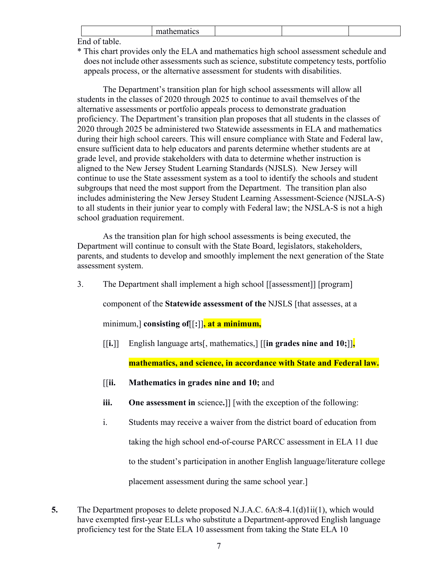|   | -- |  |  |
|---|----|--|--|
| _ |    |  |  |

End of table.

\* This chart provides only the ELA and mathematics high school assessment schedule and does not include other assessments such as science, substitute competency tests, portfolio appeals process, or the alternative assessment for students with disabilities.

The Department's transition plan for high school assessments will allow all students in the classes of 2020 through 2025 to continue to avail themselves of the alternative assessments or portfolio appeals process to demonstrate graduation proficiency. The Department's transition plan proposes that all students in the classes of 2020 through 2025 be administered two Statewide assessments in ELA and mathematics during their high school careers. This will ensure compliance with State and Federal law, ensure sufficient data to help educators and parents determine whether students are at grade level, and provide stakeholders with data to determine whether instruction is aligned to the New Jersey Student Learning Standards (NJSLS). New Jersey will continue to use the State assessment system as a tool to identify the schools and student subgroups that need the most support from the Department. The transition plan also includes administering the New Jersey Student Learning Assessment-Science (NJSLA-S) to all students in their junior year to comply with Federal law; the NJSLA-S is not a high school graduation requirement.

As the transition plan for high school assessments is being executed, the Department will continue to consult with the State Board, legislators, stakeholders, parents, and students to develop and smoothly implement the next generation of the State assessment system.

3. The Department shall implement a high school [[assessment]] [program]

component of the **Statewide assessment of the** NJSLS [that assesses, at a

minimum,] **consisting of**[[**:**]]**, at a minimum,**

[[**i.**]] English language arts[, mathematics,] [[**in grades nine and 10;**]]**,** 

**mathematics, and science, in accordance with State and Federal law.**

- [[**ii. Mathematics in grades nine and 10;** and
- **iii. One assessment in** science**.**]] [with the exception of the following:
- i. Students may receive a waiver from the district board of education from taking the high school end-of-course PARCC assessment in ELA 11 due to the student's participation in another English language/literature college placement assessment during the same school year.]
- **5.** The Department proposes to delete proposed N.J.A.C. 6A:8-4.1(d)1ii(1), which would have exempted first-year ELLs who substitute a Department-approved English language proficiency test for the State ELA 10 assessment from taking the State ELA 10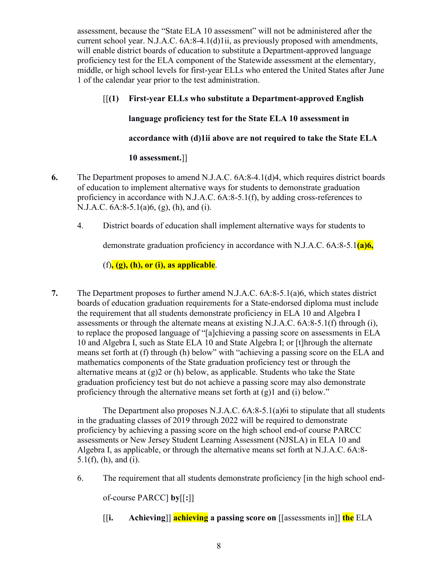assessment, because the "State ELA 10 assessment" will not be administered after the current school year. N.J.A.C. 6A:8-4.1(d)1ii, as previously proposed with amendments, will enable district boards of education to substitute a Department-approved language proficiency test for the ELA component of the Statewide assessment at the elementary, middle, or high school levels for first-year ELLs who entered the United States after June 1 of the calendar year prior to the test administration.

[[**(1) First-year ELLs who substitute a Department-approved English language proficiency test for the State ELA 10 assessment in accordance with (d)1ii above are not required to take the State ELA** 

# **10 assessment.**]]

- **6.** The Department proposes to amend N.J.A.C. 6A:8-4.1(d)4, which requires district boards of education to implement alternative ways for students to demonstrate graduation proficiency in accordance with N.J.A.C. 6A:8-5.1(f), by adding cross-references to N.J.A.C. 6A:8-5.1(a)6, (g), (h), and (i).
	- 4. District boards of education shall implement alternative ways for students to

demonstrate graduation proficiency in accordance with N.J.A.C. 6A:8-5.1**(a)6,**

(f)**, (g), (h), or (i), as applicable**.

**7.** The Department proposes to further amend N.J.A.C. 6A:8-5.1(a)6, which states district boards of education graduation requirements for a State-endorsed diploma must include the requirement that all students demonstrate proficiency in ELA 10 and Algebra I assessments or through the alternate means at existing N.J.A.C. 6A:8-5.1(f) through (i), to replace the proposed language of "[a]chieving a passing score on assessments in ELA 10 and Algebra I, such as State ELA 10 and State Algebra I; or [t]hrough the alternate means set forth at (f) through (h) below" with "achieving a passing score on the ELA and mathematics components of the State graduation proficiency test or through the alternative means at  $(g)2$  or (h) below, as applicable. Students who take the State graduation proficiency test but do not achieve a passing score may also demonstrate proficiency through the alternative means set forth at  $(g)1$  and  $(i)$  below."

The Department also proposes N.J.A.C. 6A:8-5.1(a)6i to stipulate that all students in the graduating classes of 2019 through 2022 will be required to demonstrate proficiency by achieving a passing score on the high school end-of course PARCC assessments or New Jersey Student Learning Assessment (NJSLA) in ELA 10 and Algebra I, as applicable, or through the alternative means set forth at N.J.A.C. 6A:8- 5.1(f), (h), and (i).

6. The requirement that all students demonstrate proficiency [in the high school end-

of-course PARCC] **by**[[**:**]]

[[**i. Achieving**]] **achieving a passing score on** [[assessments in]] **the** ELA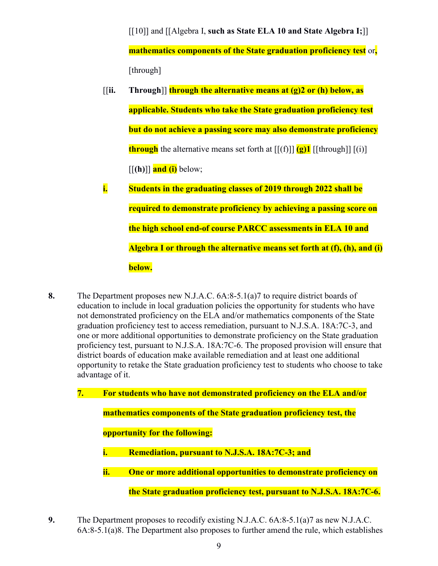[[10]] and [[Algebra I, **such as State ELA 10 and State Algebra I;**]] **mathematics components of the State graduation proficiency test** or**,** [through]

- [[**ii. Through**]] **through the alternative means at (g)2 or (h) below, as applicable. Students who take the State graduation proficiency test but do not achieve a passing score may also demonstrate proficiency through** the alternative means set forth at  $[[ (f) ]]$   $(g)1$   $[[$  through $]$   $[(i)$  $\left[\left[\mathbf{h}\right]\right]$  and (i) below;
- **i. Students in the graduating classes of 2019 through 2022 shall be required to demonstrate proficiency by achieving a passing score on the high school end-of course PARCC assessments in ELA 10 and Algebra I or through the alternative means set forth at (f), (h), and (i) below.**
- **8.** The Department proposes new N.J.A.C. 6A:8-5.1(a)7 to require district boards of education to include in local graduation policies the opportunity for students who have not demonstrated proficiency on the ELA and/or mathematics components of the State graduation proficiency test to access remediation, pursuant to N.J.S.A. 18A:7C-3, and one or more additional opportunities to demonstrate proficiency on the State graduation proficiency test, pursuant to N.J.S.A. 18A:7C-6. The proposed provision will ensure that district boards of education make available remediation and at least one additional opportunity to retake the State graduation proficiency test to students who choose to take advantage of it.
	- **7. For students who have not demonstrated proficiency on the ELA and/or mathematics components of the State graduation proficiency test, the opportunity for the following: i. Remediation, pursuant to N.J.S.A. 18A:7C-3; and ii. One or more additional opportunities to demonstrate proficiency on the State graduation proficiency test, pursuant to N.J.S.A. 18A:7C-6.**
- **9.** The Department proposes to recodify existing N.J.A.C. 6A:8-5.1(a)7 as new N.J.A.C. 6A:8-5.1(a)8. The Department also proposes to further amend the rule, which establishes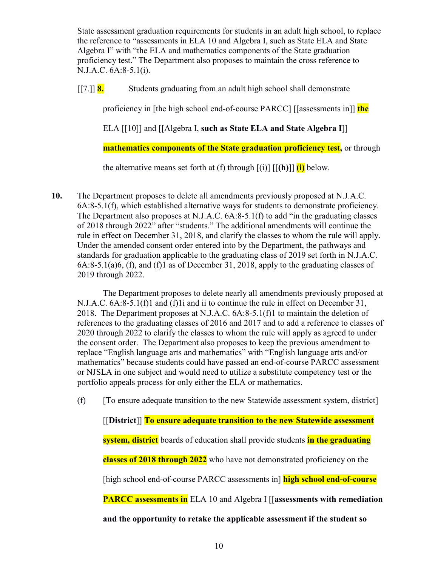State assessment graduation requirements for students in an adult high school, to replace the reference to "assessments in ELA 10 and Algebra I, such as State ELA and State Algebra I" with "the ELA and mathematics components of the State graduation proficiency test." The Department also proposes to maintain the cross reference to N.J.A.C. 6A:8-5.1(i).

[[7.]] **8.** Students graduating from an adult high school shall demonstrate

proficiency in [the high school end-of-course PARCC] [[assessments in]] **the**

ELA [[10]] and [[Algebra I, **such as State ELA and State Algebra I**]]

**mathematics components of the State graduation proficiency test,** or through

the alternative means set forth at (f) through  $[(i)]$   $[(h)]$   $(i)$  below.

**10.** The Department proposes to delete all amendments previously proposed at N.J.A.C. 6A:8-5.1(f), which established alternative ways for students to demonstrate proficiency. The Department also proposes at N.J.A.C. 6A:8-5.1(f) to add "in the graduating classes of 2018 through 2022" after "students." The additional amendments will continue the rule in effect on December 31, 2018, and clarify the classes to whom the rule will apply. Under the amended consent order entered into by the Department, the pathways and standards for graduation applicable to the graduating class of 2019 set forth in N.J.A.C. 6A:8-5.1(a)6, (f), and (f)1 as of December 31, 2018, apply to the graduating classes of 2019 through 2022.

The Department proposes to delete nearly all amendments previously proposed at N.J.A.C. 6A:8-5.1(f)1 and (f)1i and ii to continue the rule in effect on December 31, 2018. The Department proposes at N.J.A.C. 6A:8-5.1(f)1 to maintain the deletion of references to the graduating classes of 2016 and 2017 and to add a reference to classes of 2020 through 2022 to clarify the classes to whom the rule will apply as agreed to under the consent order. The Department also proposes to keep the previous amendment to replace "English language arts and mathematics" with "English language arts and/or mathematics" because students could have passed an end-of-course PARCC assessment or NJSLA in one subject and would need to utilize a substitute competency test or the portfolio appeals process for only either the ELA or mathematics.

(f) [To ensure adequate transition to the new Statewide assessment system, district]

[[**District**]] **To ensure adequate transition to the new Statewide assessment system, district** boards of education shall provide students **in the graduating classes of 2018 through 2022** who have not demonstrated proficiency on the [high school end-of-course PARCC assessments in] **high school end-of-course PARCC assessments in** ELA 10 and Algebra I [[**assessments with remediation and the opportunity to retake the applicable assessment if the student so**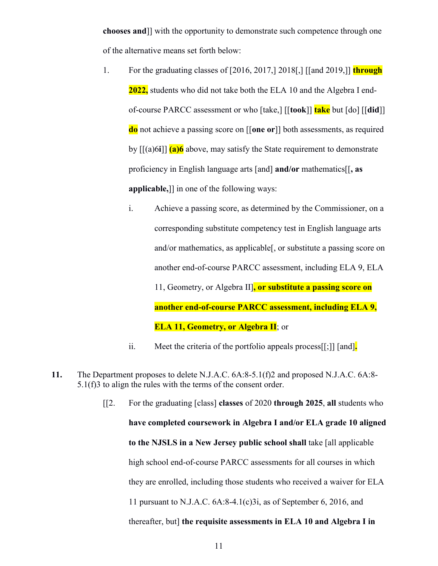**chooses and**]] with the opportunity to demonstrate such competence through one of the alternative means set forth below:

- 1. For the graduating classes of [2016, 2017,] 2018[,] [[and 2019,]] **through 2022,** students who did not take both the ELA 10 and the Algebra I endof-course PARCC assessment or who [take,] [[**took**]] **take** but [do] [[**did**]] **do** not achieve a passing score on [[**one or**]] both assessments, as required by [[(a)6**i**]] **(a)6** above, may satisfy the State requirement to demonstrate proficiency in English language arts [and] **and/or** mathematics[[**, as applicable,**]] in one of the following ways:
	- i. Achieve a passing score, as determined by the Commissioner, on a corresponding substitute competency test in English language arts and/or mathematics, as applicable[, or substitute a passing score on another end-of-course PARCC assessment, including ELA 9, ELA 11, Geometry, or Algebra II]**, or substitute a passing score on another end-of-course PARCC assessment, including ELA 9, ELA 11, Geometry, or Algebra II**; or
	- ii. Meet the criteria of the portfolio appeals process[[;]] [and]**.**
- **11.** The Department proposes to delete N.J.A.C. 6A:8-5.1(f)2 and proposed N.J.A.C. 6A:8- 5.1(f)3 to align the rules with the terms of the consent order.
	- [[2. For the graduating [class] **classes** of 2020 **through 2025**, **all** students who **have completed coursework in Algebra I and/or ELA grade 10 aligned to the NJSLS in a New Jersey public school shall** take [all applicable high school end-of-course PARCC assessments for all courses in which they are enrolled, including those students who received a waiver for ELA 11 pursuant to N.J.A.C. 6A:8-4.1(c)3i, as of September 6, 2016, and thereafter, but] **the requisite assessments in ELA 10 and Algebra I in**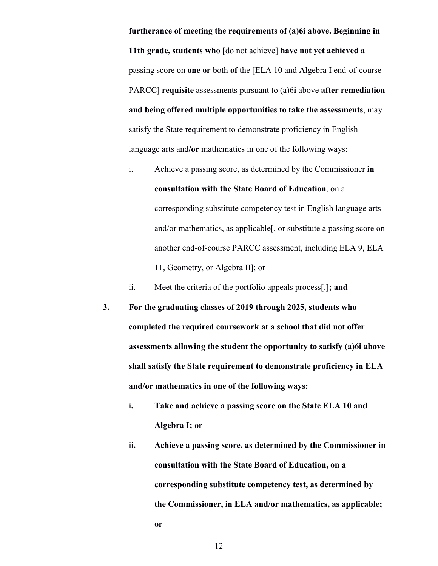**furtherance of meeting the requirements of (a)6i above. Beginning in 11th grade, students who** [do not achieve] **have not yet achieved** a passing score on **one or** both **of** the [ELA 10 and Algebra I end-of-course PARCC] **requisite** assessments pursuant to (a)6**i** above **after remediation and being offered multiple opportunities to take the assessments**, may satisfy the State requirement to demonstrate proficiency in English language arts and**/or** mathematics in one of the following ways:

i. Achieve a passing score, as determined by the Commissioner **in consultation with the State Board of Education**, on a corresponding substitute competency test in English language arts and/or mathematics, as applicable[, or substitute a passing score on another end-of-course PARCC assessment, including ELA 9, ELA 11, Geometry, or Algebra II]; or

ii. Meet the criteria of the portfolio appeals process[.]**; and**

- **3. For the graduating classes of 2019 through 2025, students who completed the required coursework at a school that did not offer assessments allowing the student the opportunity to satisfy (a)6i above shall satisfy the State requirement to demonstrate proficiency in ELA and/or mathematics in one of the following ways:**
	- **i. Take and achieve a passing score on the State ELA 10 and Algebra I; or**
	- **ii. Achieve a passing score, as determined by the Commissioner in consultation with the State Board of Education, on a corresponding substitute competency test, as determined by the Commissioner, in ELA and/or mathematics, as applicable; or**

12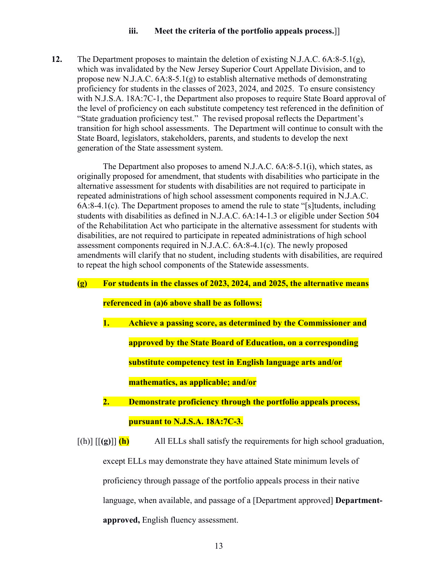#### **iii. Meet the criteria of the portfolio appeals process.**]]

**12.** The Department proposes to maintain the deletion of existing N.J.A.C. 6A:8-5.1(g), which was invalidated by the New Jersey Superior Court Appellate Division, and to propose new N.J.A.C. 6A:8-5.1(g) to establish alternative methods of demonstrating proficiency for students in the classes of 2023, 2024, and 2025. To ensure consistency with N.J.S.A. 18A:7C-1, the Department also proposes to require State Board approval of the level of proficiency on each substitute competency test referenced in the definition of "State graduation proficiency test." The revised proposal reflects the Department's transition for high school assessments. The Department will continue to consult with the State Board, legislators, stakeholders, parents, and students to develop the next generation of the State assessment system.

The Department also proposes to amend N.J.A.C. 6A:8-5.1(i), which states, as originally proposed for amendment, that students with disabilities who participate in the alternative assessment for students with disabilities are not required to participate in repeated administrations of high school assessment components required in N.J.A.C. 6A:8-4.1(c). The Department proposes to amend the rule to state "[s]tudents, including students with disabilities as defined in N.J.A.C. 6A:14-1.3 or eligible under Section 504 of the Rehabilitation Act who participate in the alternative assessment for students with disabilities, are not required to participate in repeated administrations of high school assessment components required in N.J.A.C. 6A:8-4.1(c). The newly proposed amendments will clarify that no student, including students with disabilities, are required to repeat the high school components of the Statewide assessments.

# **(g) For students in the classes of 2023, 2024, and 2025, the alternative means**

# **referenced in (a)6 above shall be as follows:**

**1. Achieve a passing score, as determined by the Commissioner and approved by the State Board of Education, on a corresponding substitute competency test in English language arts and/or mathematics, as applicable; and/or**

**2. Demonstrate proficiency through the portfolio appeals process, pursuant to N.J.S.A. 18A:7C-3.**

 $[(h)]$   $[(g)]$   $(h)$  All ELLs shall satisfy the requirements for high school graduation, except ELLs may demonstrate they have attained State minimum levels of proficiency through passage of the portfolio appeals process in their native language, when available, and passage of a [Department approved] **Departmentapproved,** English fluency assessment.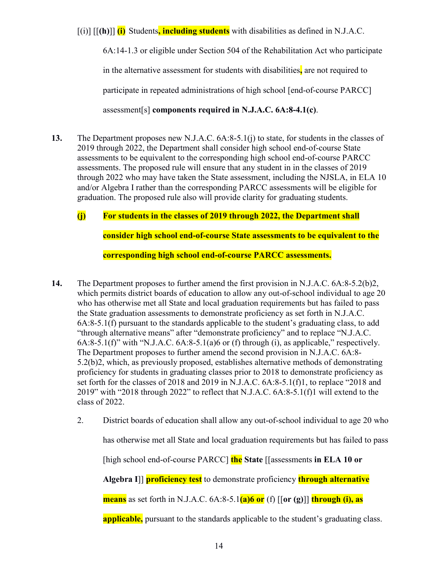[(i)] [[**(h)**]] **(i)** Students**, including students** with disabilities as defined in N.J.A.C.

6A:14-1.3 or eligible under Section 504 of the Rehabilitation Act who participate in the alternative assessment for students with disabilities**,** are not required to participate in repeated administrations of high school [end-of-course PARCC] assessment[s] **components required in N.J.A.C. 6A:8-4.1(c)**.

**13.** The Department proposes new N.J.A.C. 6A:8-5.1(j) to state, for students in the classes of 2019 through 2022, the Department shall consider high school end-of-course State assessments to be equivalent to the corresponding high school end-of-course PARCC assessments. The proposed rule will ensure that any student in in the classes of 2019 through 2022 who may have taken the State assessment, including the NJSLA, in ELA 10 and/or Algebra I rather than the corresponding PARCC assessments will be eligible for graduation. The proposed rule also will provide clarity for graduating students.

## **(j) For students in the classes of 2019 through 2022, the Department shall**

**consider high school end-of-course State assessments to be equivalent to the** 

**corresponding high school end-of-course PARCC assessments.**

- **14.** The Department proposes to further amend the first provision in N.J.A.C. 6A:8-5.2(b)2, which permits district boards of education to allow any out-of-school individual to age 20 who has otherwise met all State and local graduation requirements but has failed to pass the State graduation assessments to demonstrate proficiency as set forth in N.J.A.C. 6A:8-5.1(f) pursuant to the standards applicable to the student's graduating class, to add "through alternative means" after "demonstrate proficiency" and to replace "N.J.A.C.  $6A:8-5.1(f)$ " with "N.J.A.C.  $6A:8-5.1(a)6$  or (f) through (i), as applicable," respectively. The Department proposes to further amend the second provision in N.J.A.C. 6A:8- 5.2(b)2, which, as previously proposed, establishes alternative methods of demonstrating proficiency for students in graduating classes prior to 2018 to demonstrate proficiency as set forth for the classes of 2018 and 2019 in N.J.A.C. 6A:8-5.1(f)1, to replace "2018 and 2019" with "2018 through 2022" to reflect that N.J.A.C. 6A:8-5.1(f)1 will extend to the class of 2022.
	- 2. District boards of education shall allow any out-of-school individual to age 20 who

has otherwise met all State and local graduation requirements but has failed to pass

[high school end-of-course PARCC] **the State** [[assessments **in ELA 10 or** 

**Algebra I**]] **proficiency test** to demonstrate proficiency **through alternative** 

**means** as set forth in N.J.A.C. 6A:8-5.1**(a)6 or** (f) [[**or (g)**]] **through (i), as** 

**applicable,** pursuant to the standards applicable to the student's graduating class.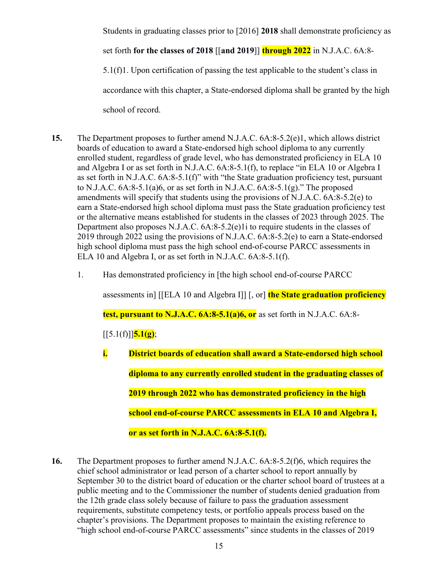Students in graduating classes prior to [2016] **2018** shall demonstrate proficiency as

set forth **for the classes of 2018** [[**and 2019**]] **through 2022** in N.J.A.C. 6A:8-

5.1(f)1. Upon certification of passing the test applicable to the student's class in accordance with this chapter, a State-endorsed diploma shall be granted by the high school of record.

- **15.** The Department proposes to further amend N.J.A.C. 6A:8-5.2(e)1, which allows district boards of education to award a State-endorsed high school diploma to any currently enrolled student, regardless of grade level, who has demonstrated proficiency in ELA 10 and Algebra I or as set forth in N.J.A.C. 6A:8-5.1(f), to replace "in ELA 10 or Algebra I as set forth in N.J.A.C. 6A:8-5.1(f)" with "the State graduation proficiency test, pursuant to N.J.A.C.  $6A:8-5.1(a)6$ , or as set forth in N.J.A.C.  $6A:8-5.1(g)$ ." The proposed amendments will specify that students using the provisions of N.J.A.C. 6A:8-5.2(e) to earn a State-endorsed high school diploma must pass the State graduation proficiency test or the alternative means established for students in the classes of 2023 through 2025. The Department also proposes N.J.A.C. 6A:8-5.2(e)1i to require students in the classes of 2019 through 2022 using the provisions of N.J.A.C. 6A:8-5.2(e) to earn a State-endorsed high school diploma must pass the high school end-of-course PARCC assessments in ELA 10 and Algebra I, or as set forth in N.J.A.C. 6A:8-5.1(f).
	- 1. Has demonstrated proficiency in [the high school end-of-course PARCC

assessments in] [[ELA 10 and Algebra I]] [, or] **the State graduation proficiency** 

**test, pursuant to N.J.A.C. 6A:8-5.1(a)6, or** as set forth in N.J.A.C. 6A:8-

 $\left[ [5.1(f)] \right]$ **5.1(g)**;

- **i. District boards of education shall award a State-endorsed high school diploma to any currently enrolled student in the graduating classes of 2019 through 2022 who has demonstrated proficiency in the high school end-of-course PARCC assessments in ELA 10 and Algebra I, or as set forth in N.J.A.C. 6A:8-5.1(f).**
- **16.** The Department proposes to further amend N.J.A.C. 6A:8-5.2(f)6, which requires the chief school administrator or lead person of a charter school to report annually by September 30 to the district board of education or the charter school board of trustees at a public meeting and to the Commissioner the number of students denied graduation from the 12th grade class solely because of failure to pass the graduation assessment requirements, substitute competency tests, or portfolio appeals process based on the chapter's provisions. The Department proposes to maintain the existing reference to "high school end-of-course PARCC assessments" since students in the classes of 2019